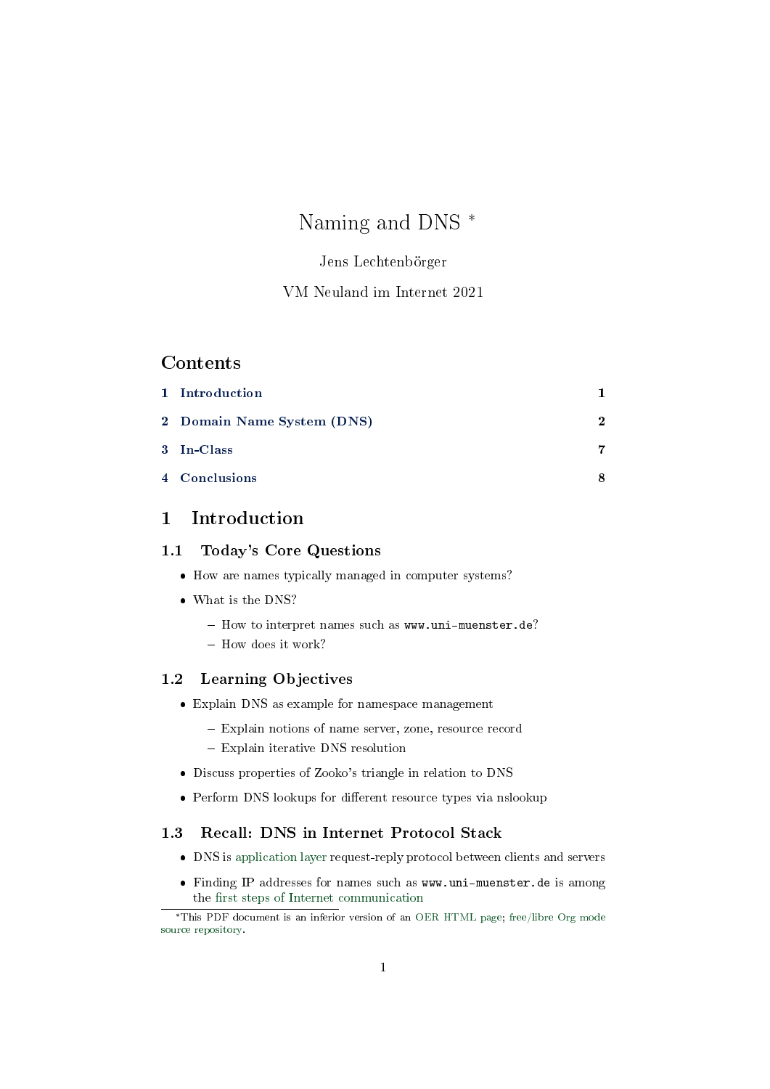# Naming and DNS \*

## Jens Lechtenbörger

## VM Neuland im Internet 2021

## **Contents**

| 1 Introduction             |              |
|----------------------------|--------------|
| 2 Domain Name System (DNS) | $\mathbf{2}$ |
| 3 In-Class                 | 7            |
| 4 Conclusions              |              |

## <span id="page-0-0"></span>1 Introduction

## 1.1 Today's Core Questions

- How are names typically managed in computer systems?
- What is the DNS?
	- How to interpret names such as www.uni-muenster.de?
	- How does it work?

## 1.2 Learning Objectives

- Explain DNS as example for namespace management
	- Explain notions of name server, zone, resource record
	- Explain iterative DNS resolution
- Discuss properties of Zooko's triangle in relation to DNS
- Perform DNS lookups for different resource types via nslookup

## 1.3 Recall: DNS in Internet Protocol Stack

- DNS is [application layer](https://oer.gitlab.io/oer-courses/cacs/Internet.html#slide-osi-internet) request-reply protocol between clients and servers
- Finding IP addresses for names such as www.uni-muenster.de is among the fi[rst steps of Internet communication](https://oer.gitlab.io/oer-courses/cacs/Internet.html#slide-internet-communication-steps-0)

<sup>\*</sup>This PDF document is an inferior version of an [OER HTML page;](https://oer.gitlab.io/oer-courses/vm-neuland/DNS.html) [free/libre Org mode](https://gitlab.com/oer/oer-courses/vm-neuland) [source repository.](https://gitlab.com/oer/oer-courses/vm-neuland)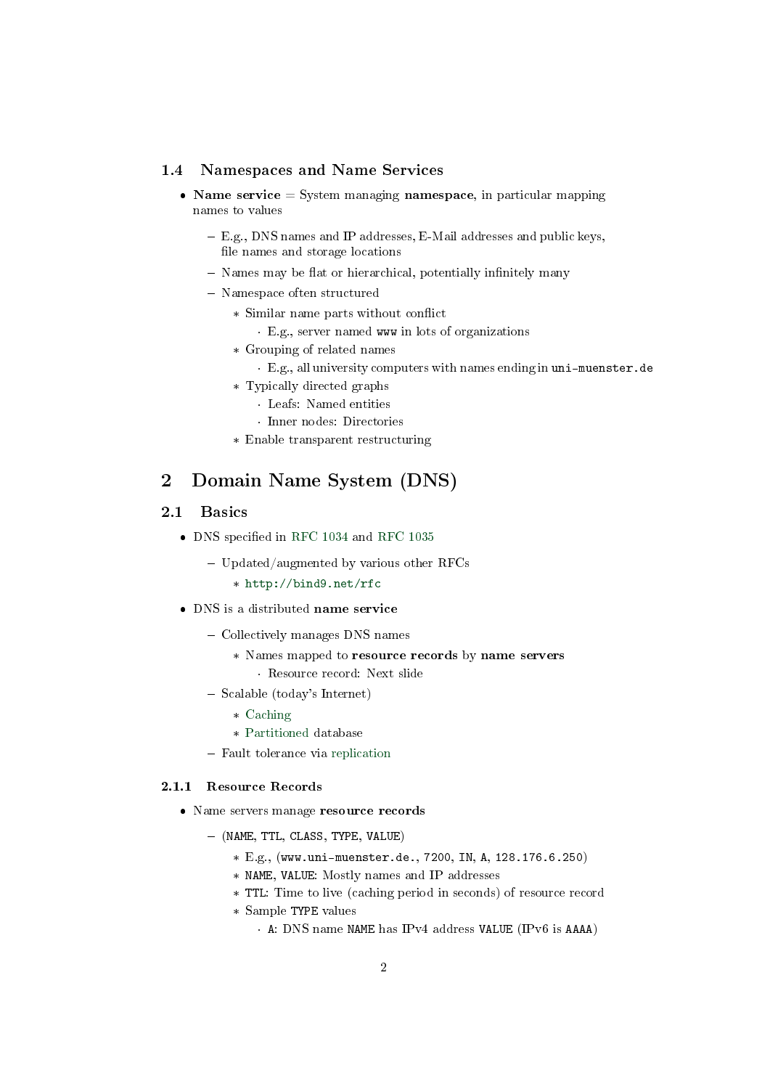#### 1.4 Namespaces and Name Services

- Name service  $=$  System managing namespace, in particular mapping names to values
	- E.g., DNS names and IP addresses, E-Mail addresses and public keys, file names and storage locations
	- Names may be flat or hierarchical, potentially infinitely many
	- Namespace often structured
		- \* Similar name parts without conflict
			- · E.g., server named www in lots of organizations
		- \* Grouping of related names
			- · E.g., all university computers with names ending in uni-muenster.de
		- \* Typically directed graphs
			- · Leafs: Named entities
			- · Inner nodes: Directories
		- \* Enable transparent restructuring

## <span id="page-1-0"></span>2 Domain Name System (DNS)

#### 2.1 Basics

- $\bullet$  DNS specified in [RFC 1034](https://tools.ietf.org/html/rfc1034) and [RFC 1035](https://tools.ietf.org/html/rfc1035)
	- $-$  Updated/augmented by various other RFCs
		- \* <http://bind9.net/rfc>
- DNS is a distributed name service
	- Collectively manages DNS names
		- \* Names mapped to resource records by name servers · Resource record: Next slide
	- Scalable (today's Internet)
		- \* [Caching](https://oer.gitlab.io/oer-courses/cacs/Distributed-Systems-Introduction.html#slide-caching)
		- \* [Partitioned](https://oer.gitlab.io/oer-courses/cacs/Distributed-Systems-Introduction.html#slide-partitioning) database
	- Fault tolerance via [replication](https://oer.gitlab.io/oer-courses/cacs/Distributed-Systems-Introduction.html#slide-replication)

#### 2.1.1 Resource Records

- Name servers manage resource records
	- (NAME, TTL, CLASS, TYPE, VALUE)
		- \* E.g., (www.uni-muenster.de., 7200, IN, A, 128.176.6.250)
		- \* NAME, VALUE: Mostly names and IP addresses
		- \* TTL: Time to live (caching period in seconds) of resource record
		- \* Sample TYPE values
			- · A: DNS name NAME has IPv4 address VALUE (IPv6 is AAAA)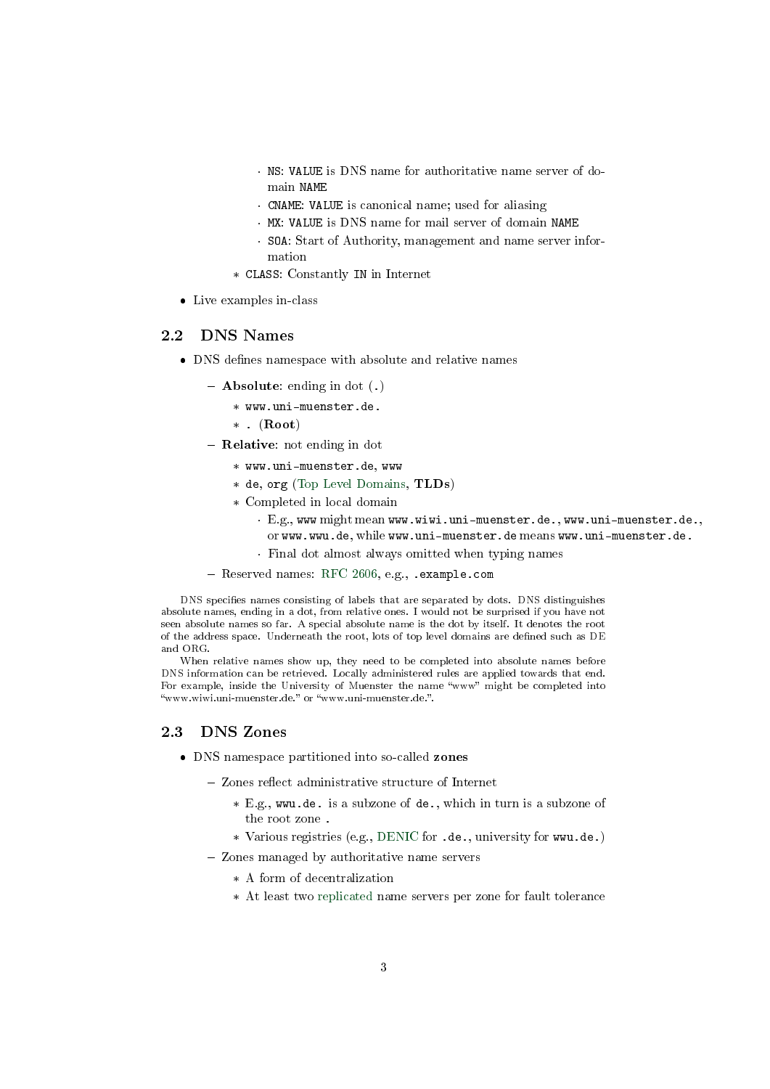- · NS: VALUE is DNS name for authoritative name server of domain NAME
- · CNAME: VALUE is canonical name; used for aliasing
- · MX: VALUE is DNS name for mail server of domain NAME
- · SOA: Start of Authority, management and name server information
- \* CLASS: Constantly IN in Internet
- Live examples in-class

## 2.2 DNS Names

- DNS defines namespace with absolute and relative names
	- $-$  **Absolute**: ending in dot  $(.)$ 
		- \* www.uni-muenster.de.
			- $*$  . (Root)
	- $-$  **Relative**: not ending in dot
		- \* www.uni-muenster.de, www
		- \* de, org [\(Top Level Domains,](https://en.wikipedia.org/wiki/Top-level_domain) TLDs)
		- \* Completed in local domain
			- · E.g., www might mean www.wiwi.uni-muenster.de., www.uni-muenster.de., or www.wwu.de, while www.uni-muenster.de means www.uni-muenster.de.
			- · Final dot almost always omitted when typing names
	- Reserved names: [RFC 2606,](https://tools.ietf.org/html/rfc2606) e.g., .example.com

DNS specifies names consisting of labels that are separated by dots. DNS distinguishes absolute names, ending in a dot, from relative ones. I would not be surprised if you have not seen absolute names so far. A special absolute name is the dot by itself. It denotes the root of the address space. Underneath the root, lots of top level domains are defined such as DE and ORG.

When relative names show up, they need to be completed into absolute names before DNS information can be retrieved. Locally administered rules are applied towards that end. For example, inside the University of Muenster the name "www" might be completed into "www.wiwi.uni-muenster.de." or "www.uni-muenster.de.".

### 2.3 DNS Zones

- DNS namespace partitioned into so-called zones
	- Zones reflect administrative structure of Internet
		- \* E.g., wwu.de. is a subzone of de., which in turn is a subzone of the root zone .
		- \* Various registries (e.g., [DENIC](https://www.denic.de/) for .de., university for wwu.de.)
	- Zones managed by authoritative name servers
		- \* A form of decentralization
		- \* At least two [replicated](https://oer.gitlab.io/oer-courses/cacs/Distributed-Systems-Introduction.html#slide-replication) name servers per zone for fault tolerance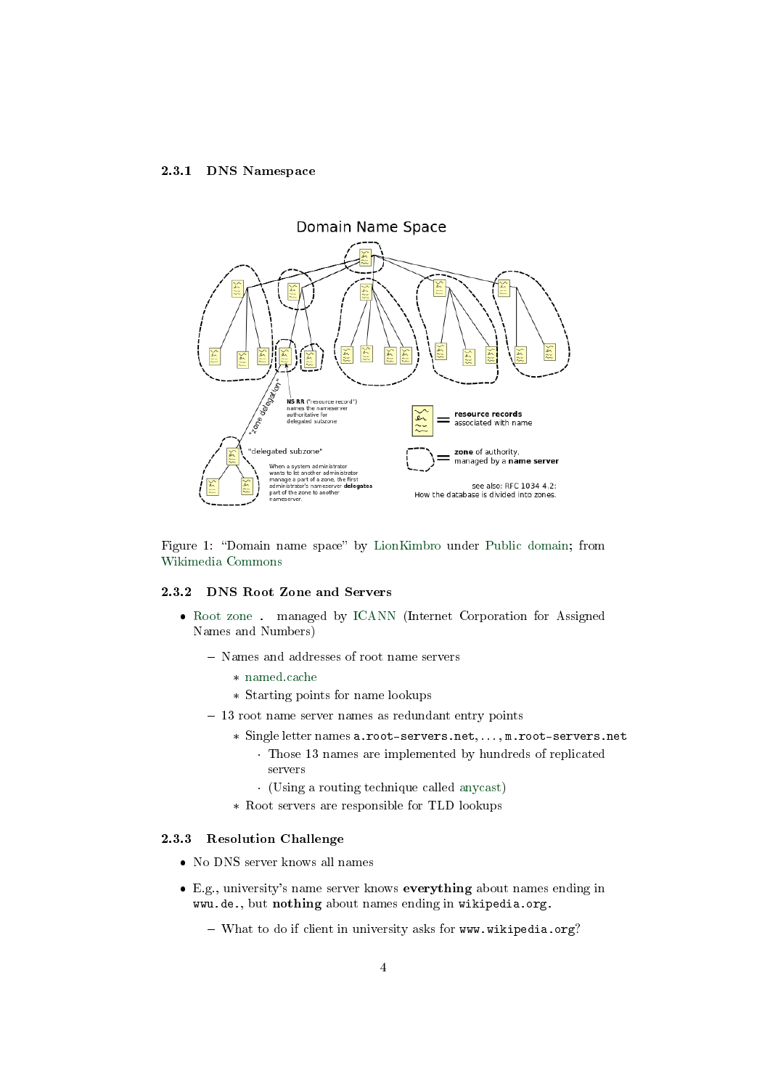#### 2.3.1 DNS Namespace



Figure 1: "Domain name space" by [LionKimbro](https://commons.wikimedia.org/wiki/User:LionKimbro) under [Public domain;](https://en.wikipedia.org/wiki/Public_domain) from [Wikimedia Commons](https://commons.wikimedia.org/wiki/File:Domain_name_space.svg)

#### 2.3.2 DNS Root Zone and Servers

- [Root zone](https://en.wikipedia.org/wiki/DNS_root_zone) . managed by [ICANN](https://en.wikipedia.org/wiki/ICANN) (Internet Corporation for Assigned Names and Numbers)
	- Names and addresses of root name servers
		- \* [named.cache](https://www.internic.net/zones/named.cache)
		- \* Starting points for name lookups
	- $-13$  root name server names as redundant entry points
		- \* Single letter names a.root-servers.net, . . . , m.root-servers.net
			- · Those 13 names are implemented by hundreds of replicated servers
			- · (Using a routing technique called [anycast\)](https://en.wikipedia.org/wiki/Anycast)
		- \* Root servers are responsible for TLD lookups

#### 2.3.3 Resolution Challenge

- No DNS server knows all names
- E.g., university's name server knows everything about names ending in wwu.de., but nothing about names ending in wikipedia.org.
	- What to do if client in university asks for www.wikipedia.org?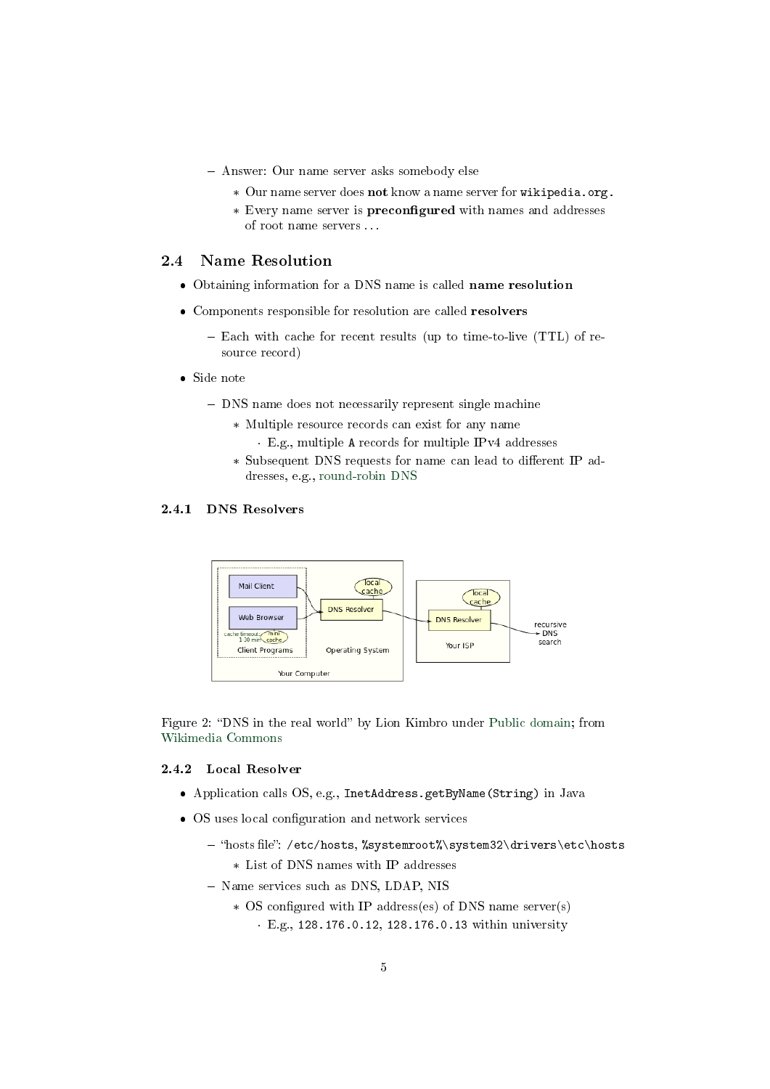- Answer: Our name server asks somebody else
	- \* Our name server does not know a name server for wikipedia.org.
	- \* Every name server is **preconfigured** with names and addresses of root name servers . . .

#### 2.4 Name Resolution

- Obtaining information for a DNS name is called name resolution
- Components responsible for resolution are called resolvers
	- $-$  Each with cache for recent results (up to time-to-live (TTL) of resource record)
- Side note
	- DNS name does not necessarily represent single machine
		- \* Multiple resource records can exist for any name
			- · E.g., multiple A records for multiple IPv4 addresses
		- \* Subsequent DNS requests for name can lead to different IP addresses, e.g., [round-robin DNS](https://en.wikipedia.org/wiki/Round-robin_DNS)

## 2.4.1 DNS Resolvers



Figure 2: "DNS in the real world" by Lion Kimbro under [Public domain;](https://en.wikipedia.org/wiki/Public_domain) from [Wikimedia Commons](https://commons.wikimedia.org/wiki/File:DNS_in_the_real_world.svg)

#### <span id="page-4-0"></span>2.4.2 Local Resolver

- Application calls OS, e.g., InetAddress.getByName(String) in Java
- OS uses local configuration and network services
	- "hosts file": /etc/hosts, %systemroot%\system32\drivers\etc\hosts
		- \* List of DNS names with IP addresses
	- Name services such as DNS, LDAP, NIS
		- \* OS configured with IP address(es) of DNS name server(s)
			- · E.g., 128.176.0.12, 128.176.0.13 within university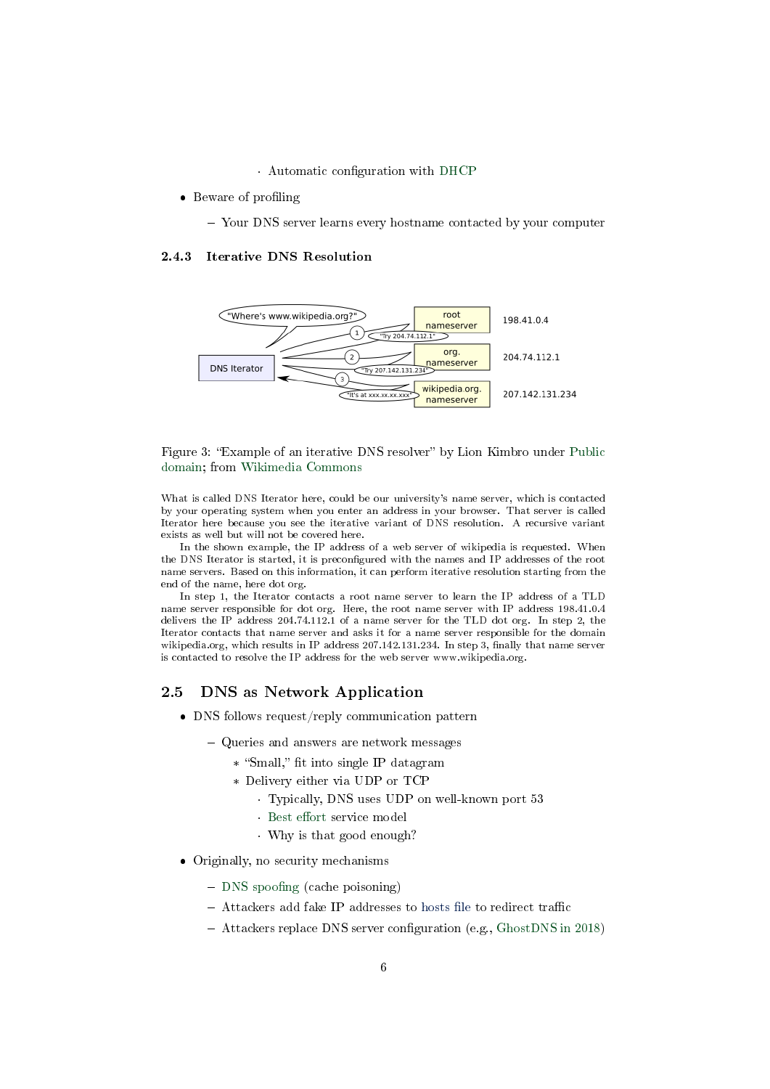$\cdot$  Automatic configuration with [DHCP](https://en.wikipedia.org/wiki/Dynamic_Host_Configuration_Protocol)

- Beware of profiling
	- Your DNS server learns every hostname contacted by your computer

#### 2.4.3 Iterative DNS Resolution



#### Figure 3: "Example of an iterative DNS resolver" by Lion Kimbro under [Public](https://en.wikipedia.org/wiki/Public_domain) [domain;](https://en.wikipedia.org/wiki/Public_domain) from [Wikimedia Commons](https://commons.wikimedia.org/wiki/File:Example_of_an_iterative_DNS_resolver.svg)

What is called DNS Iterator here, could be our university's name server, which is contacted by your operating system when you enter an address in your browser. That server is called Iterator here because you see the iterative variant of DNS resolution. A recursive variant exists as well but will not be covered here.

In the shown example, the IP address of a web server of wikipedia is requested. When the DNS Iterator is started, it is preconfigured with the names and IP addresses of the root name servers. Based on this information, it can perform iterative resolution starting from the end of the name, here dot org.

In step 1, the Iterator contacts a root name server to learn the IP address of a TLD name server responsible for dot org. Here, the root name server with IP address 198.41.0.4 delivers the IP address 204.74.112.1 of a name server for the TLD dot org. In step 2, the Iterator contacts that name server and asks it for a name server responsible for the domain wikipedia.org, which results in IP address  $207.142.131.234$ . In step 3, finally that name server is contacted to resolve the IP address for the web server www.wikipedia.org.

#### 2.5 DNS as Network Application

- DNS follows request/reply communication pattern
	- Queries and answers are network messages
		- \* "Small," fit into single IP datagram
		- \* Delivery either via UDP or TCP
			- · Typically, DNS uses UDP on well-known port 53
			- · Best effort service model
			- · Why is that good enough?
- Originally, no security mechanisms
	- $-$  DNS spoofing (cache poisoning)
	- $-$  Attackers add fake IP addresses to hosts file to redirect traffic
	- $-$  Attackers replace DNS server configuration (e.g., [GhostDNS in 2018\)](https://blog.netlab.360.com/70-different-types-of-home-routers-all-together-100000-are-being-hijacked-by-ghostdns-en/)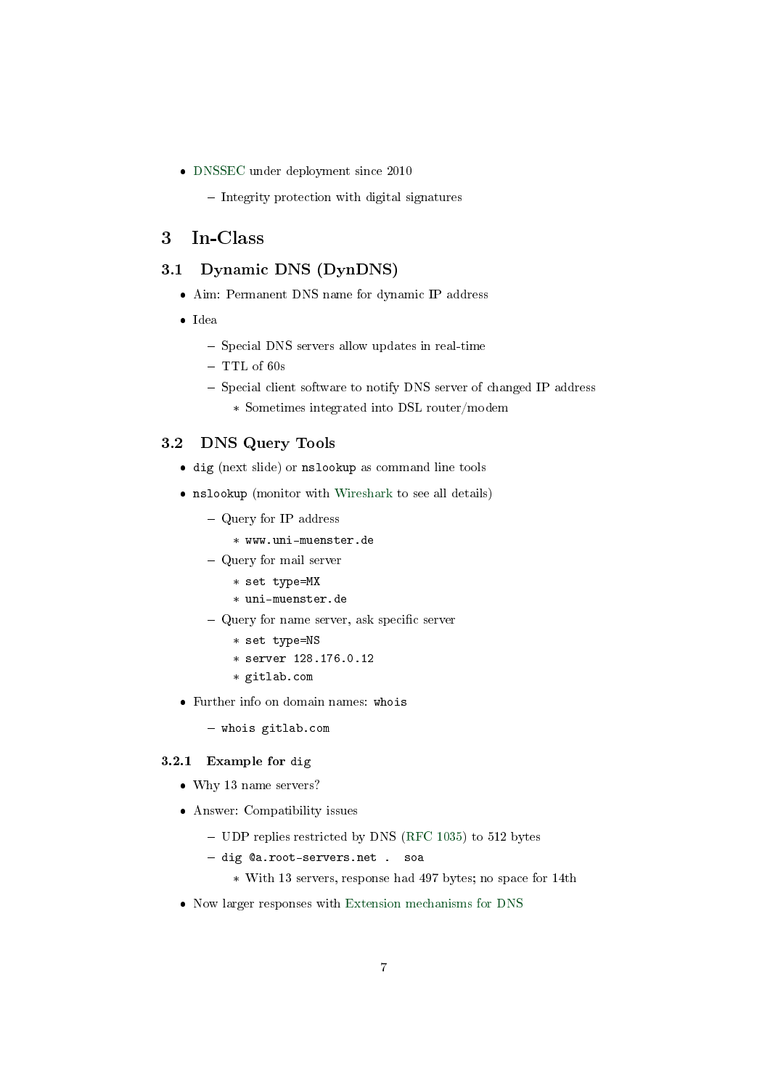- [DNSSEC](https://en.wikipedia.org/wiki/Domain_Name_System_Security_Extensions) under deployment since 2010
	- $-$  Integrity protection with digital signatures

## <span id="page-6-0"></span>3 In-Class

## 3.1 Dynamic DNS (DynDNS)

- Aim: Permanent DNS name for dynamic IP address
- Idea
	- Special DNS servers allow updates in real-time
	- $-$  TTL of 60s
	- Special client software to notify DNS server of changed IP address
		- \* Sometimes integrated into DSL router/modem

#### 3.2 DNS Query Tools

- dig (next slide) or nslookup as command line tools
- nslookup (monitor with [Wireshark](https://oer.gitlab.io/oer-courses/cacs/Wireshark-Demo.html) to see all details)
	- Query for IP address
		- \* www.uni-muenster.de
	- Query for mail server
		- \* set type=MX
		- \* uni-muenster.de
	- $-$  Query for name server, ask specific server
		- \* set type=NS
		- \* server 128.176.0.12
		- \* gitlab.com
- Further info on domain names: whois
	- whois gitlab.com

#### 3.2.1 Example for dig

- Why 13 name servers?
- Answer: Compatibility issues
	- UDP replies restricted by DNS [\(RFC 1035\)](https://tools.ietf.org/html/rfc1035) to 512 bytes
	- dig @a.root-servers.net . soa
		- \* With 13 servers, response had 497 bytes; no space for 14th
- Now larger responses with [Extension mechanisms for DNS](https://en.wikipedia.org/wiki/Extension_mechanisms_for_DNS)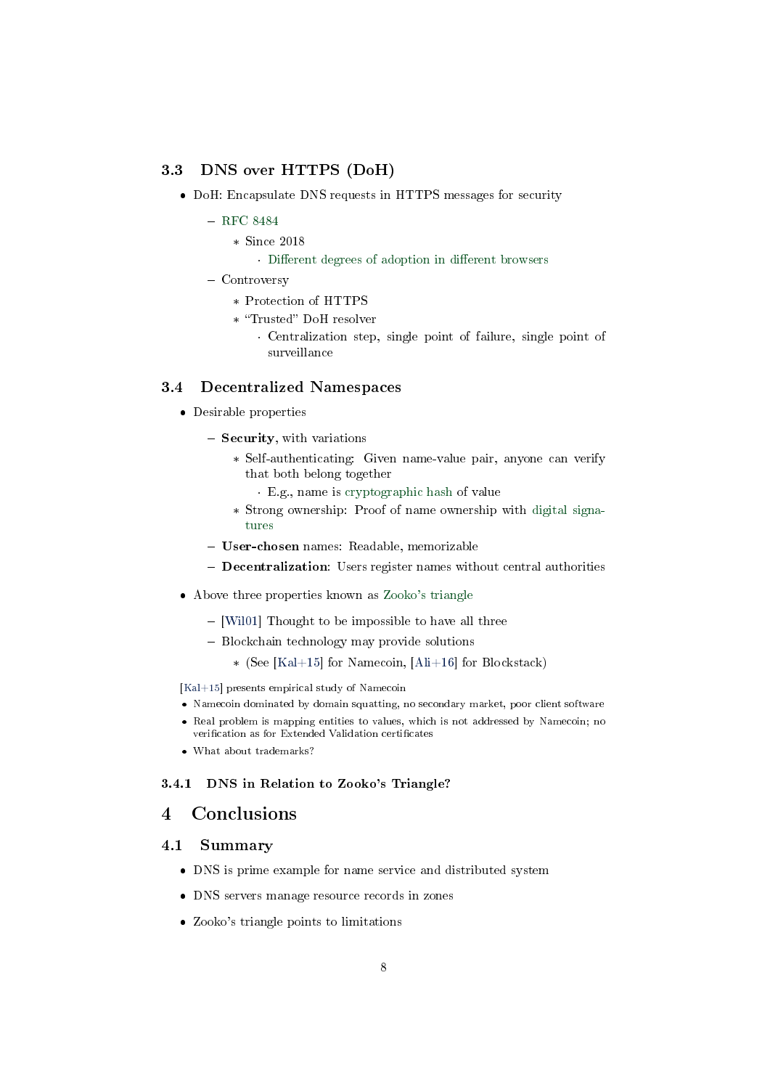#### 3.3 DNS over HTTPS (DoH)

- DoH: Encapsulate DNS requests in HTTPS messages for security
	- [RFC 8484](https://tools.ietf.org/html/rfc8484)
		- \* Since 2018
			- · Different degrees of adoption in different browsers
	- Controversy
		- \* Protection of HTTPS
		- \* "Trusted" DoH resolver
			- · Centralization step, single point of failure, single point of surveillance

### 3.4 Decentralized Namespaces

- Desirable properties
	- Security, with variations
		- \* Self-authenticating: Given name-value pair, anyone can verify that both belong together
			- · E.g., name is [cryptographic hash](https://oer.gitlab.io/OS/Operating-Systems-Security.html#slide-hash-function) of value
		- \* Strong ownership: Proof of name ownership with [digital signa](https://oer.gitlab.io/OS/Operating-Systems-Security.html#slide-digital-signatures)[tures](https://oer.gitlab.io/OS/Operating-Systems-Security.html#slide-digital-signatures)
	- User-chosen names: Readable, memorizable
	- **Decentralization**: Users register names without central authorities
- Above three properties known as [Zooko's triangle](https://en.wikipedia.org/wiki/Zooko%27s_triangle)
	- $-$  [\[Wil01\]](#page-8-0) Thought to be impossible to have all three
	- Blockchain technology may provide solutions
		- \* (See [\[Kal+15\]](#page-8-1) for Namecoin, [\[Ali+16\]](#page-8-2) for Blockstack)

[\[Kal+15\]](#page-8-1) presents empirical study of Namecoin

- Namecoin dominated by domain squatting, no secondary market, poor client software
- Real problem is mapping entities to values, which is not addressed by Namecoin; no verification as for Extended Validation certificates
- What about trademarks?

#### 3.4.1 DNS in Relation to Zooko's Triangle?

## <span id="page-7-0"></span>4 Conclusions

#### 4.1 Summary

- DNS is prime example for name service and distributed system
- DNS servers manage resource records in zones
- Zooko's triangle points to limitations